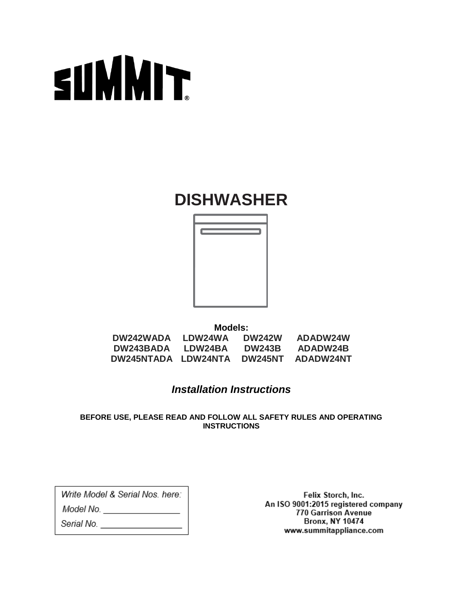

### **DISHWASHER**



**Models: DW242WADA LDW24WA DW242W ADADW24W DW243BADA LDW24BA DW243B ADADW24B DW245NTADA LDW24NTA DW245NT ADADW24NT**

### *Installation Instructions*

**BEFORE USE, PLEASE READ AND FOLLOW ALL SAFETY RULES AND OPERATING INSTRUCTIONS**

Write Model & Serial Nos, here:

Model No. \_\_\_\_\_\_\_\_\_\_\_\_\_\_\_\_\_

Serial No.

Felix Storch, Inc. An ISO 9001:2015 registered company 770 Garrison Avenue **Bronx, NY 10474** www.summitappliance.com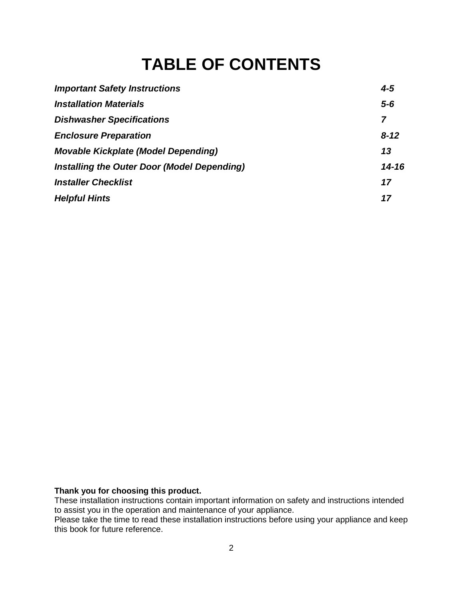## **TABLE OF CONTENTS**

| <b>Important Safety Instructions</b>        | $4 - 5$  |
|---------------------------------------------|----------|
| <b>Installation Materials</b>               | $5-6$    |
| <b>Dishwasher Specifications</b>            | 7        |
| <b>Enclosure Preparation</b>                | $8 - 12$ |
| <b>Movable Kickplate (Model Depending)</b>  | 13       |
| Installing the Outer Door (Model Depending) | 14-16    |
| <b>Installer Checklist</b>                  | 17       |
| <b>Helpful Hints</b>                        | 17       |

#### **Thank you for choosing this product.**

These installation instructions contain important information on safety and instructions intended to assist you in the operation and maintenance of your appliance.

Please take the time to read these installation instructions before using your appliance and keep this book for future reference.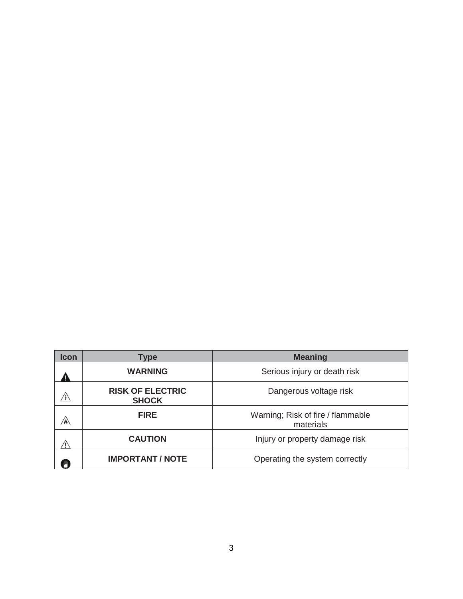| <b>Icon</b> | Type                                    | <b>Meaning</b>                                 |
|-------------|-----------------------------------------|------------------------------------------------|
|             | <b>WARNING</b>                          | Serious injury or death risk                   |
|             | <b>RISK OF ELECTRIC</b><br><b>SHOCK</b> | Dangerous voltage risk                         |
| /W/         | <b>FIRE</b>                             | Warning; Risk of fire / flammable<br>materials |
|             | <b>CAUTION</b>                          | Injury or property damage risk                 |
|             | <b>IMPORTANT / NOTE</b>                 | Operating the system correctly                 |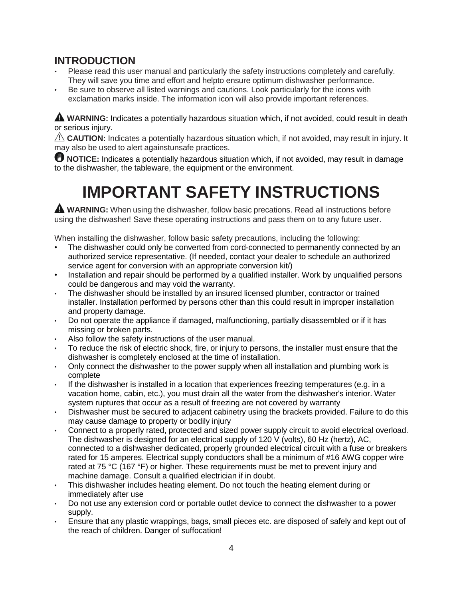### **INTRODUCTION**

- Please read this user manual and particularly the safety instructions completely and carefully. They will save you time and effort and helpto ensure optimum dishwasher performance.
- Be sure to observe all listed warnings and cautions. Look particularly for the icons with exclamation marks inside. The information icon will also provide important references.

**A WARNING:** Indicates a potentially hazardous situation which, if not avoided, could result in death or serious injury.

**CAUTION:** Indicates a potentially hazardous situation which, if not avoided, may result in injury. It may also be used to alert againstunsafe practices.

**U** NOTICE: Indicates a potentially hazardous situation which, if not avoided, may result in damage to the dishwasher, the tableware, the equipment or the environment.

# **IMPORTANT SAFETY INSTRUCTIONS**

**WARNING:** When using the dishwasher, follow basic precations. Read all instructions before using the dishwasher! Save these operating instructions and pass them on to any future user.

When installing the dishwasher, follow basic safety precautions, including the following:

- The dishwasher could only be converted from cord-connected to permanently connected by an authorized service representative. (If needed, contact your dealer to schedule an authorized service agent for conversion with an appropriate conversion kit/)
- Installation and repair should be performed by a qualified installer. Work by unqualified persons could be dangerous and may void the warranty.
- The dishwasher should be installed by an insured licensed plumber, contractor or trained installer. Installation performed by persons other than this could result in improper installation and property damage.
- Do not operate the appliance if damaged, malfunctioning, partially disassembled or if it has missing or broken parts.
- Also follow the safety instructions of the user manual.
- To reduce the risk of electric shock, fire, or injury to persons, the installer must ensure that the dishwasher is completely enclosed at the time of installation.
- Only connect the dishwasher to the power supply when all installation and plumbing work is complete
- If the dishwasher is installed in a location that experiences freezing temperatures (e.g. in a vacation home, cabin, etc.), you must drain all the water from the dishwasher's interior. Water system ruptures that occur as a result of freezing are not covered by warranty
- Dishwasher must be secured to adjacent cabinetry using the brackets provided. Failure to do this may cause damage to property or bodily injury
- Connect to a properly rated, protected and sized power supply circuit to avoid electrical overload. The dishwasher is designed for an electrical supply of 120 V (volts), 60 Hz (hertz), AC, connected to a dishwasher dedicated, properly grounded electrical circuit with a fuse or breakers rated for 15 amperes. Electrical supply conductors shall be a minimum of #16 AWG copper wire rated at 75 °C (167 °F) or higher. These requirements must be met to prevent injury and machine damage. Consult a qualified electrician if in doubt.
- This dishwasher includes heating element. Do not touch the heating element during or immediately after use
- Do not use any extension cord or portable outlet device to connect the dishwasher to a power supply.
- Ensure that any plastic wrappings, bags, small pieces etc. are disposed of safely and kept out of the reach of children. Danger of suffocation!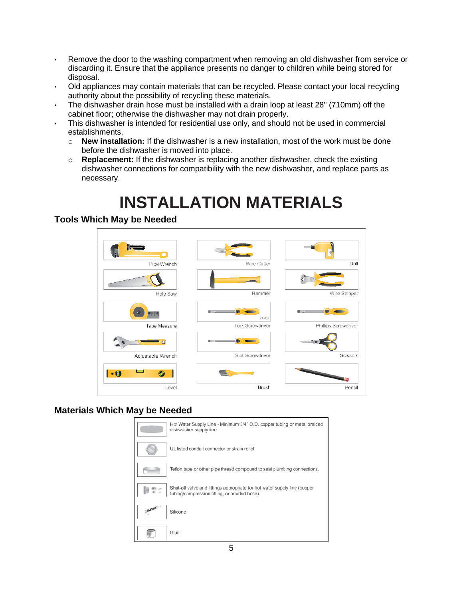- Remove the door to the washing compartment when removing an old dishwasher from service or discarding it. Ensure that the appliance presents no danger to children while being stored for disposal.
- Old appliances may contain materials that can be recycled. Please contact your local recycling authority about the possibility of recycling these materials.
- The dishwasher drain hose must be installed with a drain loop at least 28" (710mm) off the cabinet floor; otherwise the dishwasher may not drain properly.
- This dishwasher is intended for residential use only, and should not be used in commercial establishments.
	- o **New installation:** If the dishwasher is a new installation, most of the work must be done before the dishwasher is moved into place.
	- o **Replacement:** If the dishwasher is replacing another dishwasher, check the existing dishwasher connections for compatibility with the new dishwasher, and replace parts as necessary.

# **INSTALLATION MATERIALS**

#### **Tools Which May be Needed**



#### **Materials Which May be Needed**

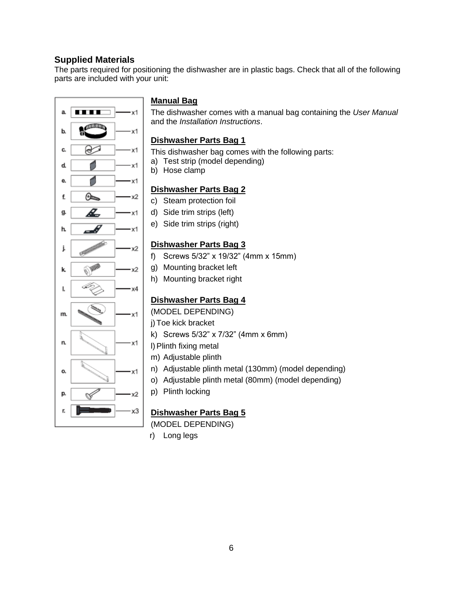#### **Supplied Materials**

The parts required for positioning the dishwasher are in plastic bags. Check that all of the following parts are included with your unit:



#### **Manual Bag**

The dishwasher comes with a manual bag containing the *User Manual* and the *Installation Instructions*.

#### **Dishwasher Parts Bag 1**

This dishwasher bag comes with the following parts:

- a) Test strip (model depending)
- b) Hose clamp

#### **Dishwasher Parts Bag 2**

- c) Steam protection foil
- d) Side trim strips (left)
- e) Side trim strips (right)

#### **Dishwasher Parts Bag 3**

- f) Screws 5/32" x 19/32" (4mm x 15mm)
- g) Mounting bracket left
- h) Mounting bracket right

#### **Dishwasher Parts Bag 4**

(MODEL DEPENDING)

- j) Toe kick bracket
- k) Screws 5/32" x 7/32" (4mm x 6mm)
- l)Plinth fixing metal
- m) Adjustable plinth
- n) Adjustable plinth metal (130mm) (model depending)
- o) Adjustable plinth metal (80mm) (model depending)
- p) Plinth locking

#### **Dishwasher Parts Bag 5**

(MODEL DEPENDING)

r) Long legs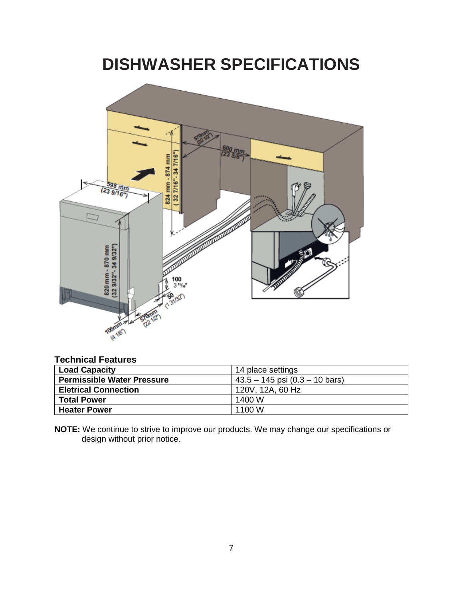### **DISHWASHER SPECIFICATIONS**



#### **Technical Features**

| <b>Load Capacity</b>              | 14 place settings                  |
|-----------------------------------|------------------------------------|
| <b>Permissible Water Pressure</b> | $43.5 - 145$ psi $(0.3 - 10$ bars) |
| <b>Eletrical Connection</b>       | 120V, 12A, 60 Hz                   |
| <b>Total Power</b>                | 1400 W                             |
| <b>Heater Power</b>               | 1100 W                             |

**NOTE:** We continue to strive to improve our products. We may change our specifications or design without prior notice.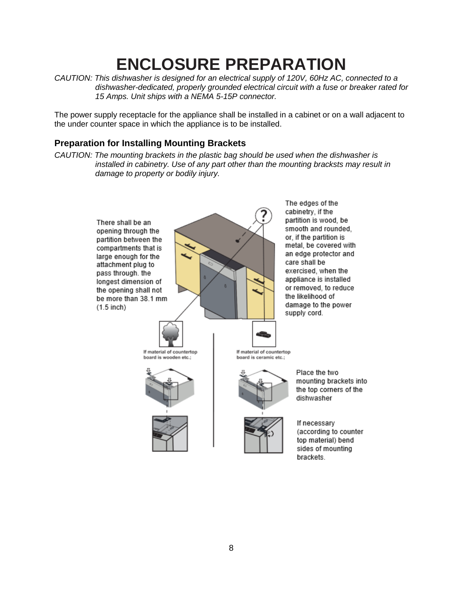### **ENCLOSURE PREPARATION**

*CAUTION: This dishwasher is designed for an electrical supply of 120V, 60Hz AC, connected to a dishwasher-dedicated, properly grounded electrical circuit with a fuse or breaker rated for 15 Amps. Unit ships with a NEMA 5-15P connector.*

The power supply receptacle for the appliance shall be installed in a cabinet or on a wall adjacent to the under counter space in which the appliance is to be installed.

#### **Preparation for Installing Mounting Brackets**

*CAUTION: The mounting brackets in the plastic bag should be used when the dishwasher is installed in cabinetry. Use of any part other than the mounting bracksts may result in damage to property or bodily injury.*

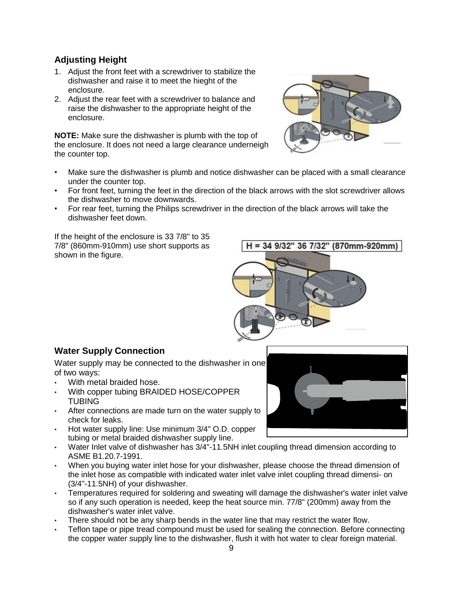#### **Adjusting Height**

- 1. Adjust the front feet with a screwdriver to stabilize the dishwasher and raise it to meet the hieght of the enclosure.
- 2. Adjust the rear feet with a screwdriver to balance and raise the dishwasher to the appropriate height of the enclosure.

**NOTE:** Make sure the dishwasher is plumb with the top of the enclosure. It does not need a large clearance underneigh the counter top.



- Make sure the dishwasher is plumb and notice dishwasher can be placed with a small clearance under the counter top.
- For front feet, turning the feet in the direction of the black arrows with the slot screwdriver allows the dishwasher to move downwards.
- For rear feet, turning the Philips screwdriver in the direction of the black arrows will take the dishwasher feet down.

If the height of the enclosure is 33 7/8" to 35 7/8" (860mm-910mm) use short supports as shown in the figure.

#### **Water Supply Connection**

Water supply may be connected to the dishwasher in one of two ways:

- With metal braided hose.
- With copper tubing BRAIDED HOSE/COPPER **TUBING**
- After connections are made turn on the water supply to check for leaks.
- Hot water supply line: Use minimum 3/4" O.D. copper tubing or metal braided dishwasher supply line.
- Water Inlet valve of dishwasher has 3/4"-11.5NH inlet coupling thread dimension according to ASME B1.20.7-1991.
- When you buying water inlet hose for your dishwasher, please choose the thread dimension of the inlet hose as compatible with indicated water inlet valve inlet coupling thread dimensi- on (3/4"-11.5NH) of your dishwasher.
- Temperatures required for soldering and sweating will damage the dishwasher's water inlet valve so if any such operation is needed, keep the heat source min. 77/8" (200mm) away from the dishwasher's water inlet valve.
- There should not be any sharp bends in the water line that may restrict the water flow.
- Teflon tape or pipe tread compound must be used for sealing the connection. Before connecting the copper water supply line to the dishwasher, flush it with hot water to clear foreign material.



H = 34 9/32" 36 7/32" (870mm-920mm)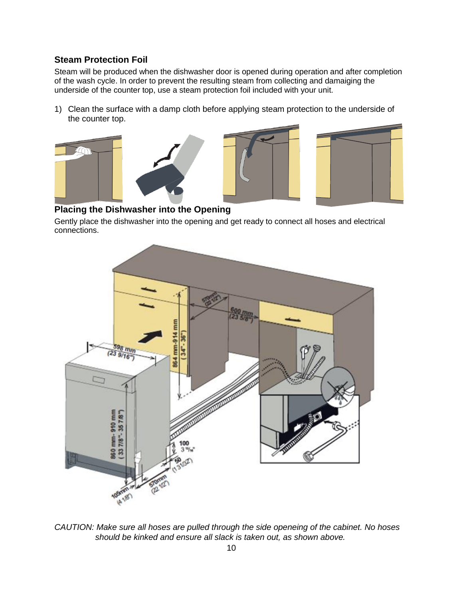#### **Steam Protection Foil**

Steam will be produced when the dishwasher door is opened during operation and after completion of the wash cycle. In order to prevent the resulting steam from collecting and damaiging the underside of the counter top, use a steam protection foil included with your unit.

1) Clean the surface with a damp cloth before applying steam protection to the underside of the counter top.





#### **Placing the Dishwasher into the Opening**

Gently place the dishwasher into the opening and get ready to connect all hoses and electrical connections.



*CAUTION: Make sure all hoses are pulled through the side openeing of the cabinet. No hoses should be kinked and ensure all slack is taken out, as shown above.*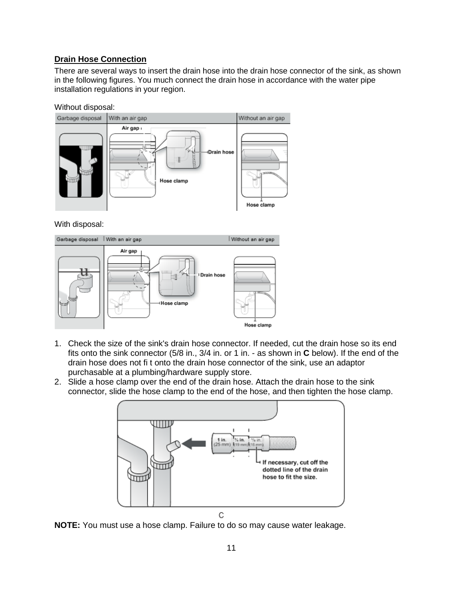#### **Drain Hose Connection**

There are several ways to insert the drain hose into the drain hose connector of the sink, as shown in the following figures. You much connect the drain hose in accordance with the water pipe installation regulations in your region.

#### Without disposal:



With disposal:



- 1. Check the size of the sink's drain hose connector. If needed, cut the drain hose so its end fits onto the sink connector (5/8 in., 3/4 in. or 1 in. - as shown in **C** below). If the end of the drain hose does not fi t onto the drain hose connector of the sink, use an adaptor purchasable at a plumbing/hardware supply store.
- 2. Slide a hose clamp over the end of the drain hose. Attach the drain hose to the sink connector, slide the hose clamp to the end of the hose, and then tighten the hose clamp.

![](_page_10_Figure_8.jpeg)

**NOTE:** You must use a hose clamp. Failure to do so may cause water leakage.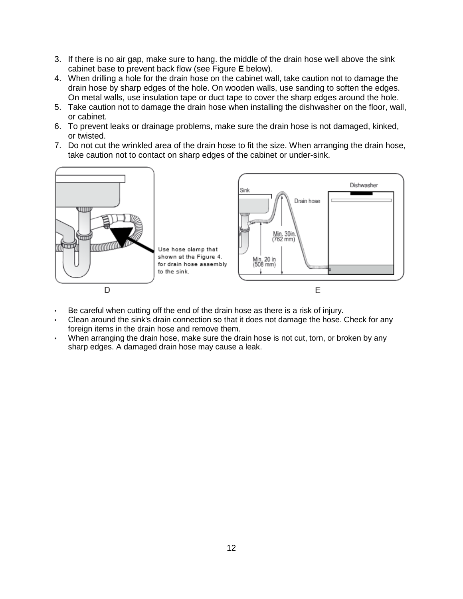- 3. If there is no air gap, make sure to hang. the middle of the drain hose well above the sink cabinet base to prevent back flow (see Figure **E** below).
- 4. When drilling a hole for the drain hose on the cabinet wall, take caution not to damage the drain hose by sharp edges of the hole. On wooden walls, use sanding to soften the edges. On metal walls, use insulation tape or duct tape to cover the sharp edges around the hole.
- 5. Take caution not to damage the drain hose when installing the dishwasher on the floor, wall, or cabinet.
- 6. To prevent leaks or drainage problems, make sure the drain hose is not damaged, kinked, or twisted.
- 7. Do not cut the wrinkled area of the drain hose to fit the size. When arranging the drain hose, take caution not to contact on sharp edges of the cabinet or under-sink.

![](_page_11_Figure_5.jpeg)

- Be careful when cutting off the end of the drain hose as there is a risk of injury.
- Clean around the sink's drain connection so that it does not damage the hose. Check for any foreign items in the drain hose and remove them.
- When arranging the drain hose, make sure the drain hose is not cut, torn, or broken by any sharp edges. A damaged drain hose may cause a leak.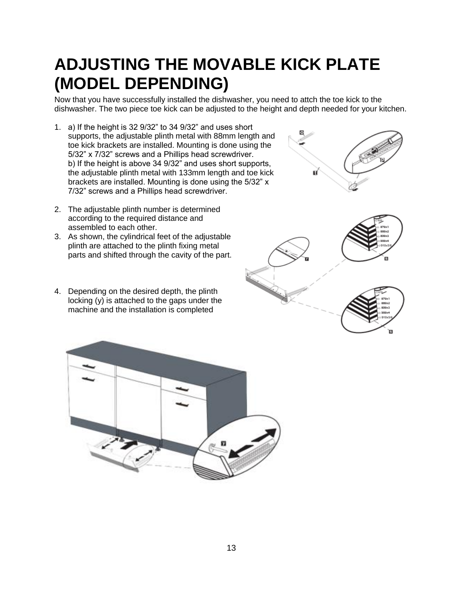### **ADJUSTING THE MOVABLE KICK PLATE (MODEL DEPENDING)**

Now that you have successfully installed the dishwasher, you need to attch the toe kick to the dishwasher. The two piece toe kick can be adjusted to the height and depth needed for your kitchen.

- 1. a) If the height is 32 9/32" to 34 9/32" and uses short supports, the adjustable plinth metal with 88mm length and toe kick brackets are installed. Mounting is done using the 5/32" x 7/32" screws and a Phillips head screwdriver. b) If the height is above 34 9/32" and uses short supports, the adjustable plinth metal with 133mm length and toe kick brackets are installed. Mounting is done using the 5/32" x 7/32" screws and a Phillips head screwdriver.
- 2. The adjustable plinth number is determined according to the required distance and assembled to each other.
- 3. As shown, the cylindrical feet of the adjustable plinth are attached to the plinth fixing metal parts and shifted through the cavity of the part.
- 4. Depending on the desired depth, the plinth locking (y) is attached to the gaps under the machine and the installation is completed

![](_page_12_Picture_6.jpeg)

 $\bullet$ 

![](_page_12_Picture_7.jpeg)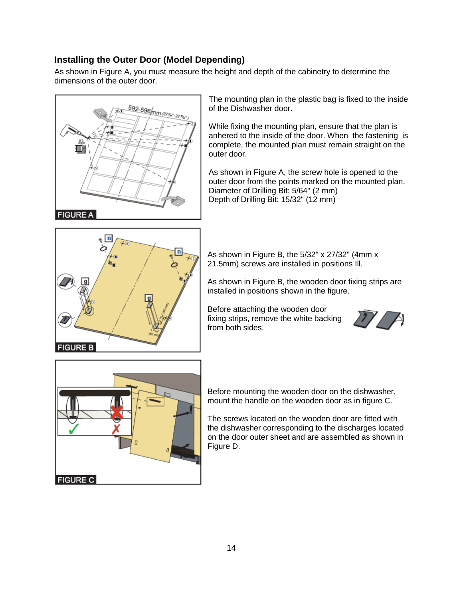#### **Installing the Outer Door (Model Depending)**

As shown in Figure A, you must measure the height and depth of the cabinetry to determine the dimensions of the outer door.

![](_page_13_Picture_2.jpeg)

The mounting plan in the plastic bag is fixed to the inside of the Dishwasher door.

While fixing the mounting plan, ensure that the plan is anhered to the inside of the door. When the fastening is complete, the mounted plan must remain straight on the outer door.

As shown in Figure A, the screw hole is opened to the outer door from the points marked on the mounted plan. Diameter of Drilling Bit: 5/64" (2 mm) Depth of Drilling Bit: 15/32" (12 mm)

![](_page_13_Picture_6.jpeg)

As shown in Figure B, the 5/32" x 27/32" (4mm x 21.5mm) screws are installed in positions Ill.

As shown in Figure B, the wooden door fixing strips are installed in positions shown in the figure.

Before attaching the wooden door fixing strips, remove the white backing from both sides.

![](_page_13_Picture_10.jpeg)

![](_page_13_Figure_11.jpeg)

Before mounting the wooden door on the dishwasher, mount the handle on the wooden door as in figure C.

The screws located on the wooden door are fitted with the dishwasher corresponding to the discharges located on the door outer sheet and are assembled as shown in Figure D.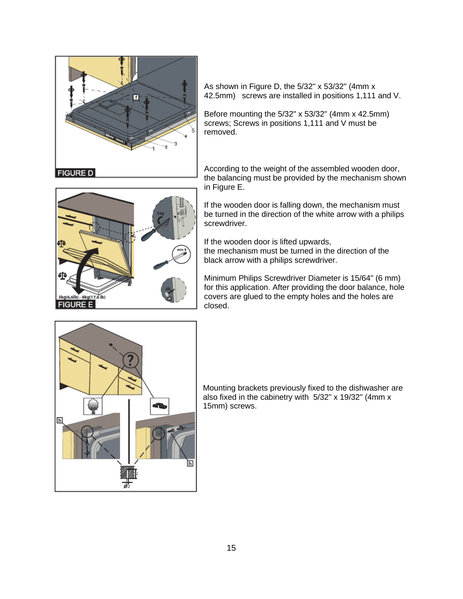![](_page_14_Picture_0.jpeg)

As shown in Figure D, the 5/32" x 53/32" (4mm x 42.5mm) screws are installed in positions 1,111 and V.

Before mounting the 5/32" x 53/32" (4mm x 42.5mm) screws; Screws in positions 1,111 and V must be removed.

According to the weight of the assembled wooden door, the balancing must be provided by the mechanism shown in Figure E.

![](_page_14_Picture_4.jpeg)

If the wooden door is falling down, the mechanism must be turned in the direction of the white arrow with a philips screwdriver.

If the wooden door is lifted upwards, the mechanism must be turned in the direction of the black arrow with a philips screwdriver.

Minimum Philips Screwdriver Diameter is 15/64" (6 mm) for this application. After providing the door balance, hole covers are glued to the empty holes and the holes are closed.

![](_page_14_Figure_8.jpeg)

Mounting brackets previously fixed to the dishwasher are also fixed in the cabinetry with 5/32" x 19/32" (4mm x 15mm) screws.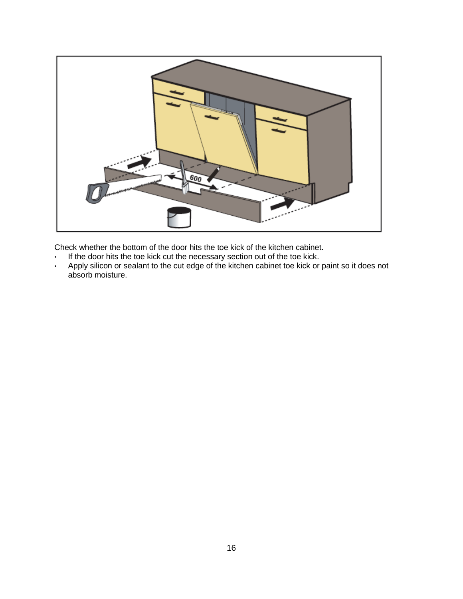![](_page_15_Picture_0.jpeg)

Check whether the bottom of the door hits the toe kick of the kitchen cabinet.

- If the door hits the toe kick cut the necessary section out of the toe kick.
- Apply silicon or sealant to the cut edge of the kitchen cabinet toe kick or paint so it does not absorb moisture.